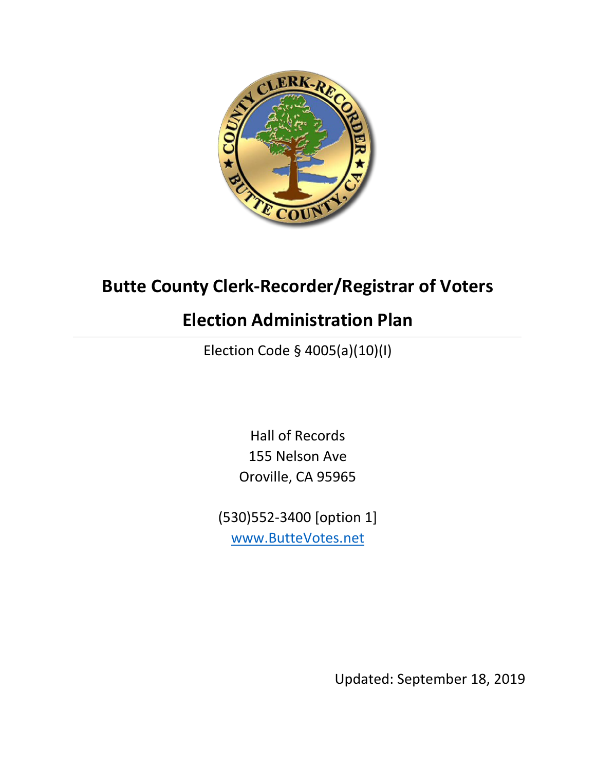

# **Butte County Clerk-Recorder/Registrar of Voters**

# **Election Administration Plan**

Election Code § 4005(a)(10)(I)

Hall of Records 155 Nelson Ave Oroville, CA 95965

(530)552-3400 [option 1] [www.ButteVotes.net](http://www.buttevotes.net/)

Updated: September 18, 2019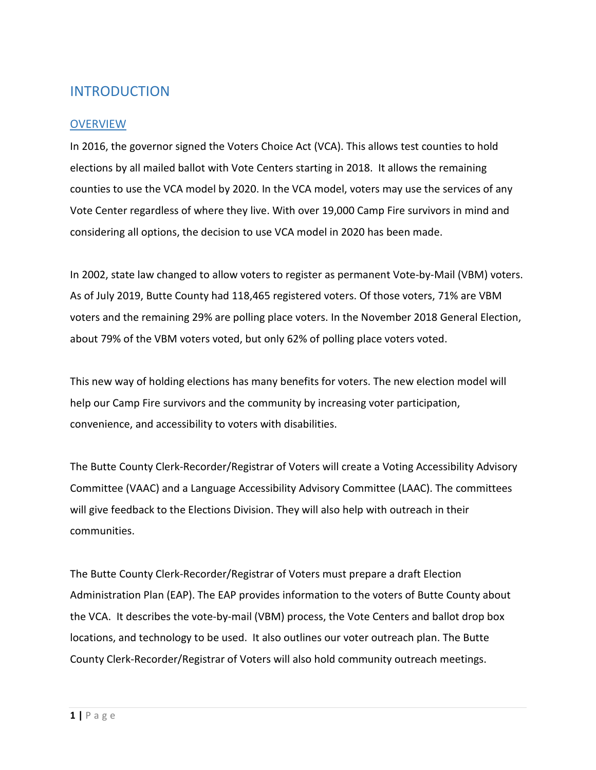# INTRODUCTION

#### **OVERVIEW**

In 2016, the governor signed the Voters Choice Act (VCA). This allows test counties to hold elections by all mailed ballot with Vote Centers starting in 2018. It allows the remaining counties to use the VCA model by 2020. In the VCA model, voters may use the services of any Vote Center regardless of where they live. With over 19,000 Camp Fire survivors in mind and considering all options, the decision to use VCA model in 2020 has been made.

In 2002, state law changed to allow voters to register as permanent Vote-by-Mail (VBM) voters. As of July 2019, Butte County had 118,465 registered voters. Of those voters, 71% are VBM voters and the remaining 29% are polling place voters. In the November 2018 General Election, about 79% of the VBM voters voted, but only 62% of polling place voters voted.

This new way of holding elections has many benefits for voters. The new election model will help our Camp Fire survivors and the community by increasing voter participation, convenience, and accessibility to voters with disabilities.

The Butte County Clerk-Recorder/Registrar of Voters will create a Voting Accessibility Advisory Committee (VAAC) and a Language Accessibility Advisory Committee (LAAC). The committees will give feedback to the Elections Division. They will also help with outreach in their communities.

The Butte County Clerk-Recorder/Registrar of Voters must prepare a draft Election Administration Plan (EAP). The EAP provides information to the voters of Butte County about the VCA. It describes the vote-by-mail (VBM) process, the Vote Centers and ballot drop box locations, and technology to be used. It also outlines our voter outreach plan. The Butte County Clerk-Recorder/Registrar of Voters will also hold community outreach meetings.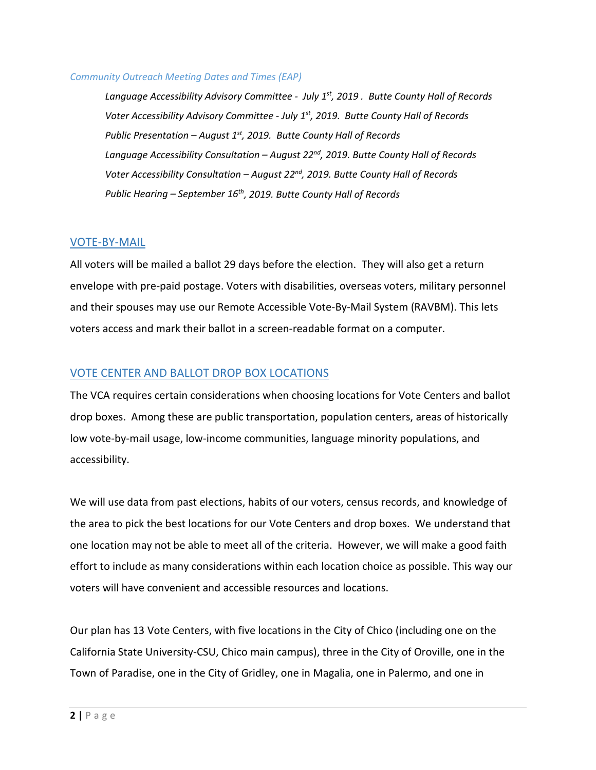#### *Community Outreach Meeting Dates and Times (EAP)*

*Language Accessibility Advisory Committee - July 1st, 2019 . Butte County Hall of Records Voter Accessibility Advisory Committee - July 1st, 2019. Butte County Hall of Records Public Presentation – August 1st, 2019. Butte County Hall of Records Language Accessibility Consultation – August 22nd, 2019. Butte County Hall of Records Voter Accessibility Consultation – August 22nd, 2019. Butte County Hall of Records Public Hearing – September 16th, 2019. Butte County Hall of Records* 

#### VOTE-BY-MAIL

All voters will be mailed a ballot 29 days before the election. They will also get a return envelope with pre-paid postage. Voters with disabilities, overseas voters, military personnel and their spouses may use our Remote Accessible Vote-By-Mail System (RAVBM). This lets voters access and mark their ballot in a screen-readable format on a computer.

#### VOTE CENTER AND BALLOT DROP BOX LOCATIONS

The VCA requires certain considerations when choosing locations for Vote Centers and ballot drop boxes. Among these are public transportation, population centers, areas of historically low vote-by-mail usage, low-income communities, language minority populations, and accessibility.

We will use data from past elections, habits of our voters, census records, and knowledge of the area to pick the best locations for our Vote Centers and drop boxes. We understand that one location may not be able to meet all of the criteria. However, we will make a good faith effort to include as many considerations within each location choice as possible. This way our voters will have convenient and accessible resources and locations.

Our plan has 13 Vote Centers, with five locations in the City of Chico (including one on the California State University-CSU, Chico main campus), three in the City of Oroville, one in the Town of Paradise, one in the City of Gridley, one in Magalia, one in Palermo, and one in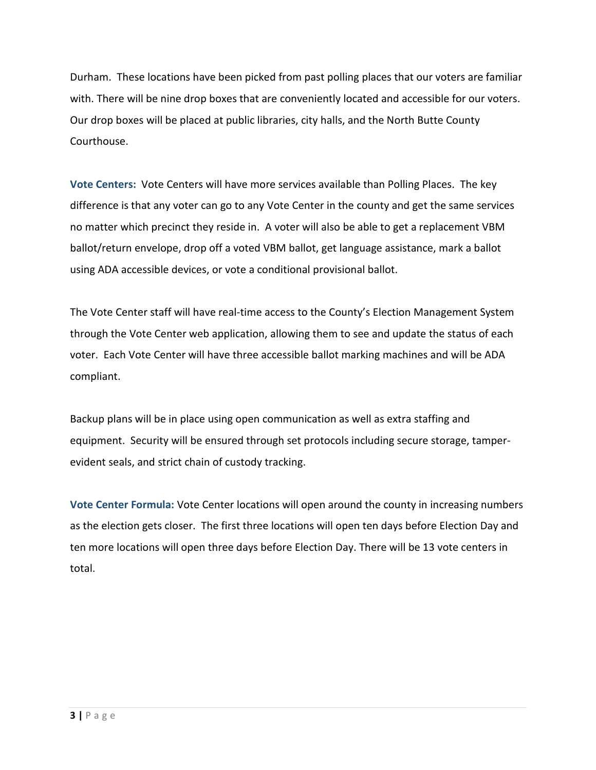Durham. These locations have been picked from past polling places that our voters are familiar with. There will be nine drop boxes that are conveniently located and accessible for our voters. Our drop boxes will be placed at public libraries, city halls, and the North Butte County Courthouse.

**Vote Centers:** Vote Centers will have more services available than Polling Places. The key difference is that any voter can go to any Vote Center in the county and get the same services no matter which precinct they reside in. A voter will also be able to get a replacement VBM ballot/return envelope, drop off a voted VBM ballot, get language assistance, mark a ballot using ADA accessible devices, or vote a conditional provisional ballot.

The Vote Center staff will have real-time access to the County's Election Management System through the Vote Center web application, allowing them to see and update the status of each voter. Each Vote Center will have three accessible ballot marking machines and will be ADA compliant.

Backup plans will be in place using open communication as well as extra staffing and equipment. Security will be ensured through set protocols including secure storage, tamperevident seals, and strict chain of custody tracking.

**Vote Center Formula:** Vote Center locations will open around the county in increasing numbers as the election gets closer. The first three locations will open ten days before Election Day and ten more locations will open three days before Election Day. There will be 13 vote centers in total.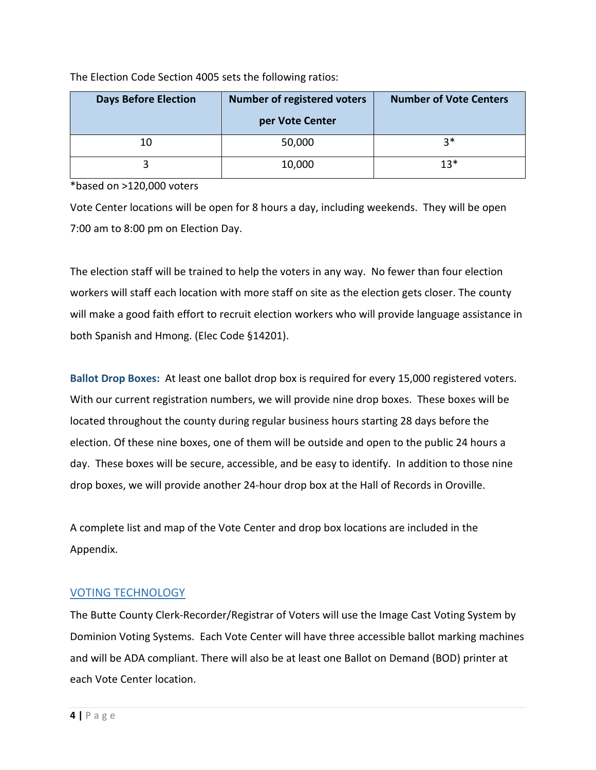| <b>Days Before Election</b> | <b>Number of registered voters</b> | <b>Number of Vote Centers</b> |  |
|-----------------------------|------------------------------------|-------------------------------|--|
|                             | per Vote Center                    |                               |  |
| 10                          | 50,000                             | $3*$                          |  |
|                             | 10,000                             | $13*$                         |  |

The Election Code Section 4005 sets the following ratios:

\*based on >120,000 voters

Vote Center locations will be open for 8 hours a day, including weekends. They will be open 7:00 am to 8:00 pm on Election Day.

The election staff will be trained to help the voters in any way. No fewer than four election workers will staff each location with more staff on site as the election gets closer. The county will make a good faith effort to recruit election workers who will provide language assistance in both Spanish and Hmong. (Elec Code §14201).

**Ballot Drop Boxes:** At least one ballot drop box is required for every 15,000 registered voters. With our current registration numbers, we will provide nine drop boxes. These boxes will be located throughout the county during regular business hours starting 28 days before the election. Of these nine boxes, one of them will be outside and open to the public 24 hours a day. These boxes will be secure, accessible, and be easy to identify. In addition to those nine drop boxes, we will provide another 24-hour drop box at the Hall of Records in Oroville.

A complete list and map of the Vote Center and drop box locations are included in the Appendix.

#### VOTING TECHNOLOGY

The Butte County Clerk-Recorder/Registrar of Voters will use the Image Cast Voting System by Dominion Voting Systems. Each Vote Center will have three accessible ballot marking machines and will be ADA compliant. There will also be at least one Ballot on Demand (BOD) printer at each Vote Center location.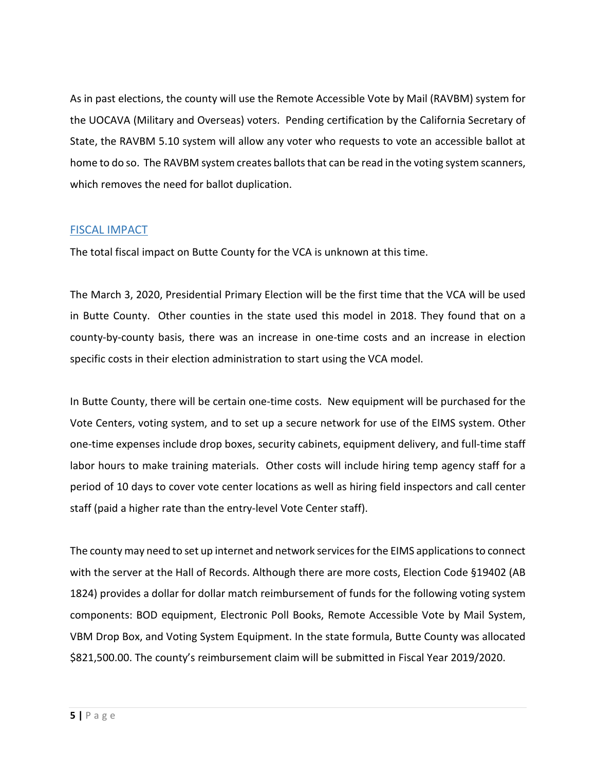As in past elections, the county will use the Remote Accessible Vote by Mail (RAVBM) system for the UOCAVA (Military and Overseas) voters. Pending certification by the California Secretary of State, the RAVBM 5.10 system will allow any voter who requests to vote an accessible ballot at home to do so. The RAVBM system creates ballots that can be read in the voting system scanners, which removes the need for ballot duplication.

#### FISCAL IMPACT

The total fiscal impact on Butte County for the VCA is unknown at this time.

The March 3, 2020, Presidential Primary Election will be the first time that the VCA will be used in Butte County. Other counties in the state used this model in 2018. They found that on a county-by-county basis, there was an increase in one-time costs and an increase in election specific costs in their election administration to start using the VCA model.

In Butte County, there will be certain one-time costs. New equipment will be purchased for the Vote Centers, voting system, and to set up a secure network for use of the EIMS system. Other one-time expenses include drop boxes, security cabinets, equipment delivery, and full-time staff labor hours to make training materials. Other costs will include hiring temp agency staff for a period of 10 days to cover vote center locations as well as hiring field inspectors and call center staff (paid a higher rate than the entry-level Vote Center staff).

The county may need to set up internet and network services for the EIMS applications to connect with the server at the Hall of Records. Although there are more costs, Election Code §19402 (AB 1824) provides a dollar for dollar match reimbursement of funds for the following voting system components: BOD equipment, Electronic Poll Books, Remote Accessible Vote by Mail System, VBM Drop Box, and Voting System Equipment. In the state formula, Butte County was allocated \$821,500.00. The county's reimbursement claim will be submitted in Fiscal Year 2019/2020.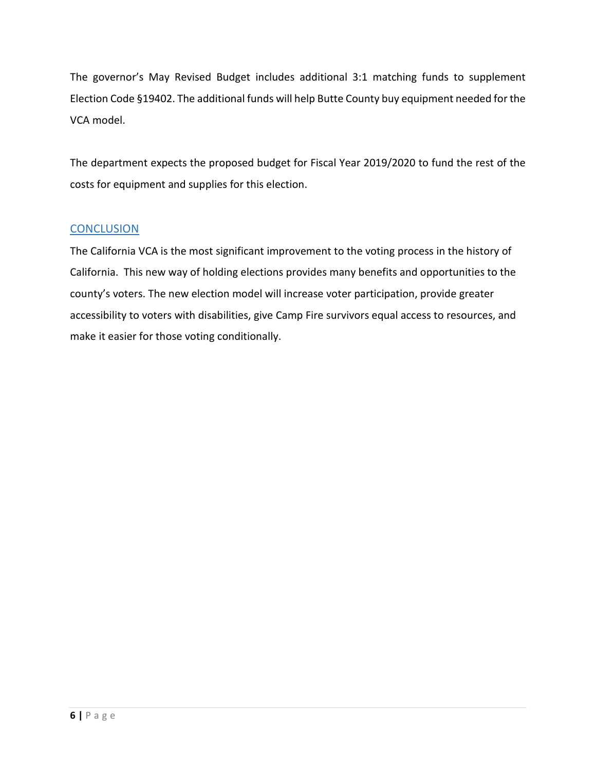The governor's May Revised Budget includes additional 3:1 matching funds to supplement Election Code §19402. The additional funds will help Butte County buy equipment needed for the VCA model.

The department expects the proposed budget for Fiscal Year 2019/2020 to fund the rest of the costs for equipment and supplies for this election.

#### **CONCLUSION**

The California VCA is the most significant improvement to the voting process in the history of California. This new way of holding elections provides many benefits and opportunities to the county's voters. The new election model will increase voter participation, provide greater accessibility to voters with disabilities, give Camp Fire survivors equal access to resources, and make it easier for those voting conditionally.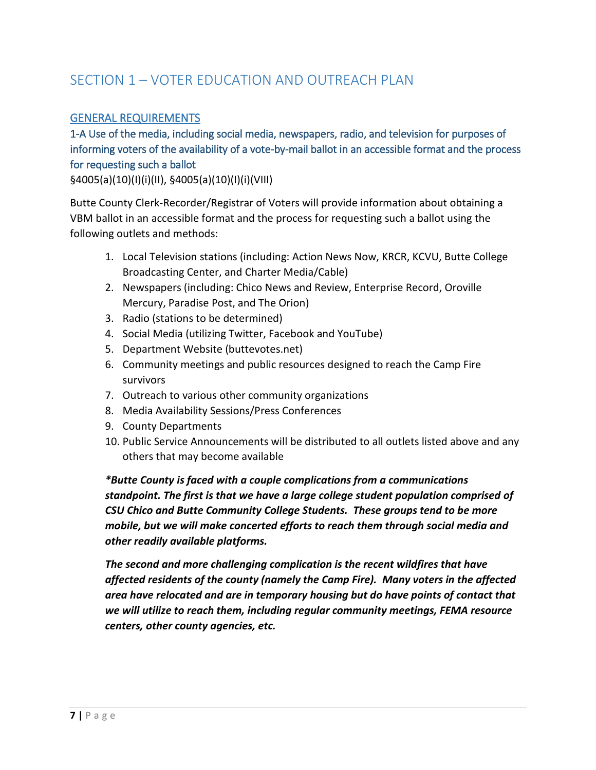# SECTION 1 – VOTER EDUCATION AND OUTREACH PLAN

#### GENERAL REQUIREMENTS

1-A Use of the media, including social media, newspapers, radio, and television for purposes of informing voters of the availability of a vote-by-mail ballot in an accessible format and the process for requesting such a ballot

§4005(a)(10)(I)(i)(II), §4005(a)(10)(I)(i)(VIII)

Butte County Clerk-Recorder/Registrar of Voters will provide information about obtaining a VBM ballot in an accessible format and the process for requesting such a ballot using the following outlets and methods:

- 1. Local Television stations (including: Action News Now, KRCR, KCVU, Butte College Broadcasting Center, and Charter Media/Cable)
- 2. Newspapers (including: Chico News and Review, Enterprise Record, Oroville Mercury, Paradise Post, and The Orion)
- 3. Radio (stations to be determined)
- 4. Social Media (utilizing Twitter, Facebook and YouTube)
- 5. Department Website (buttevotes.net)
- 6. Community meetings and public resources designed to reach the Camp Fire survivors
- 7. Outreach to various other community organizations
- 8. Media Availability Sessions/Press Conferences
- 9. County Departments
- 10. Public Service Announcements will be distributed to all outlets listed above and any others that may become available

*\*Butte County is faced with a couple complications from a communications standpoint. The first is that we have a large college student population comprised of CSU Chico and Butte Community College Students. These groups tend to be more mobile, but we will make concerted efforts to reach them through social media and other readily available platforms.*

*The second and more challenging complication is the recent wildfires that have affected residents of the county (namely the Camp Fire). Many voters in the affected area have relocated and are in temporary housing but do have points of contact that we will utilize to reach them, including regular community meetings, FEMA resource centers, other county agencies, etc.*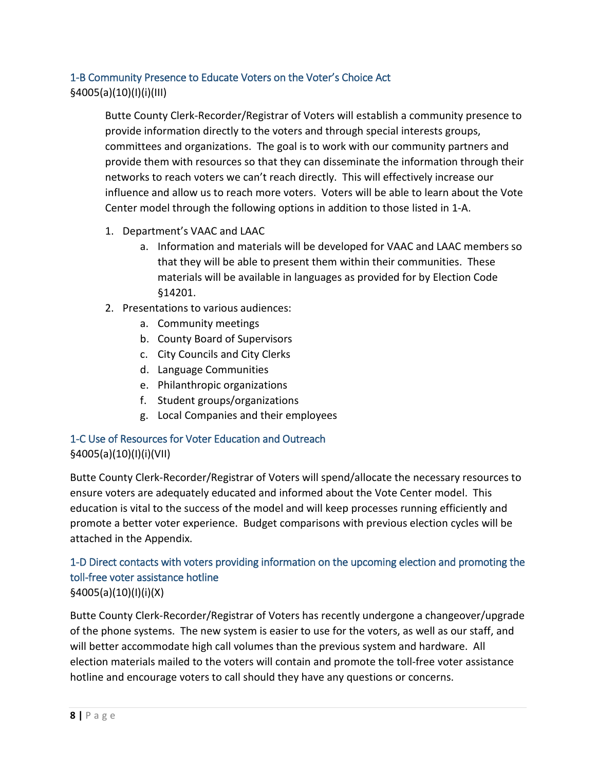# 1-B Community Presence to Educate Voters on the Voter's Choice Act §4005(a)(10)(I)(i)(III)

Butte County Clerk-Recorder/Registrar of Voters will establish a community presence to provide information directly to the voters and through special interests groups, committees and organizations. The goal is to work with our community partners and provide them with resources so that they can disseminate the information through their networks to reach voters we can't reach directly. This will effectively increase our influence and allow us to reach more voters. Voters will be able to learn about the Vote Center model through the following options in addition to those listed in 1-A.

- 1. Department's VAAC and LAAC
	- a. Information and materials will be developed for VAAC and LAAC members so that they will be able to present them within their communities. These materials will be available in languages as provided for by Election Code §14201.
- 2. Presentations to various audiences:
	- a. Community meetings
	- b. County Board of Supervisors
	- c. City Councils and City Clerks
	- d. Language Communities
	- e. Philanthropic organizations
	- f. Student groups/organizations
	- g. Local Companies and their employees

# 1-C Use of Resources for Voter Education and Outreach §4005(a)(10)(I)(i)(VII)

Butte County Clerk-Recorder/Registrar of Voters will spend/allocate the necessary resources to ensure voters are adequately educated and informed about the Vote Center model. This education is vital to the success of the model and will keep processes running efficiently and promote a better voter experience. Budget comparisons with previous election cycles will be attached in the Appendix.

## 1-D Direct contacts with voters providing information on the upcoming election and promoting the toll-free voter assistance hotline §4005(a)(10)(I)(i)(X)

Butte County Clerk-Recorder/Registrar of Voters has recently undergone a changeover/upgrade of the phone systems. The new system is easier to use for the voters, as well as our staff, and will better accommodate high call volumes than the previous system and hardware. All election materials mailed to the voters will contain and promote the toll-free voter assistance hotline and encourage voters to call should they have any questions or concerns.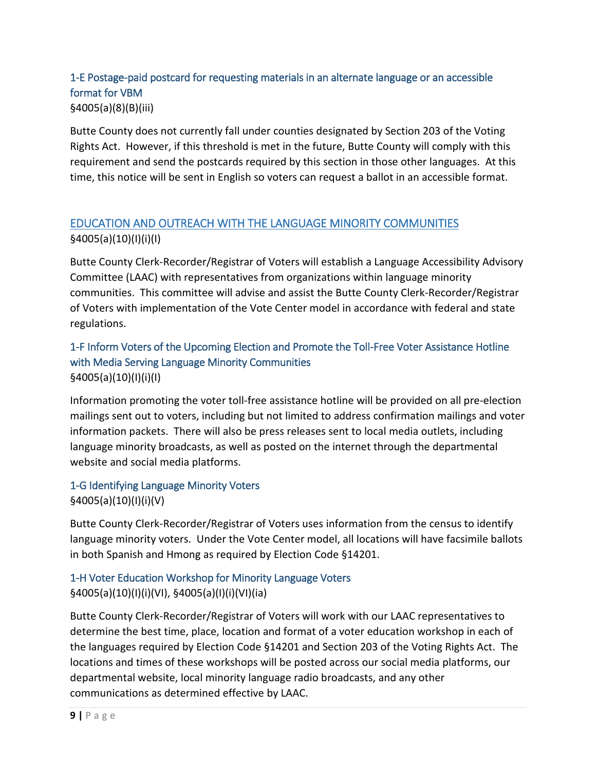## 1-E Postage-paid postcard for requesting materials in an alternate language or an accessible format for VBM §4005(a)(8)(B)(iii)

Butte County does not currently fall under counties designated by Section 203 of the Voting Rights Act. However, if this threshold is met in the future, Butte County will comply with this requirement and send the postcards required by this section in those other languages. At this time, this notice will be sent in English so voters can request a ballot in an accessible format.

# EDUCATION AND OUTREACH WITH THE LANGUAGE MINORITY COMMUNITIES §4005(a)(10)(I)(i)(I)

Butte County Clerk-Recorder/Registrar of Voters will establish a Language Accessibility Advisory Committee (LAAC) with representatives from organizations within language minority communities. This committee will advise and assist the Butte County Clerk-Recorder/Registrar of Voters with implementation of the Vote Center model in accordance with federal and state regulations.

## 1-F Inform Voters of the Upcoming Election and Promote the Toll-Free Voter Assistance Hotline with Media Serving Language Minority Communities §4005(a)(10)(I)(i)(I)

Information promoting the voter toll-free assistance hotline will be provided on all pre-election mailings sent out to voters, including but not limited to address confirmation mailings and voter information packets. There will also be press releases sent to local media outlets, including language minority broadcasts, as well as posted on the internet through the departmental website and social media platforms.

1-G Identifying Language Minority Voters §4005(a)(10)(I)(i)(V)

Butte County Clerk-Recorder/Registrar of Voters uses information from the census to identify language minority voters. Under the Vote Center model, all locations will have facsimile ballots in both Spanish and Hmong as required by Election Code §14201.

# 1-H Voter Education Workshop for Minority Language Voters §4005(a)(10)(I)(i)(VI), §4005(a)(I)(i)(VI)(ia)

Butte County Clerk-Recorder/Registrar of Voters will work with our LAAC representatives to determine the best time, place, location and format of a voter education workshop in each of the languages required by Election Code §14201 and Section 203 of the Voting Rights Act. The locations and times of these workshops will be posted across our social media platforms, our departmental website, local minority language radio broadcasts, and any other communications as determined effective by LAAC.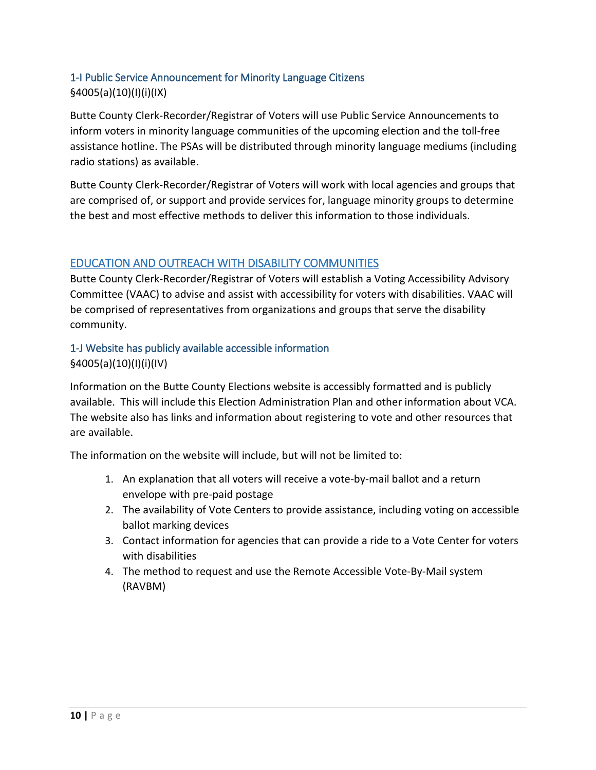# 1-I Public Service Announcement for Minority Language Citizens §4005(a)(10)(I)(i)(IX)

Butte County Clerk-Recorder/Registrar of Voters will use Public Service Announcements to inform voters in minority language communities of the upcoming election and the toll-free assistance hotline. The PSAs will be distributed through minority language mediums (including radio stations) as available.

Butte County Clerk-Recorder/Registrar of Voters will work with local agencies and groups that are comprised of, or support and provide services for, language minority groups to determine the best and most effective methods to deliver this information to those individuals.

## EDUCATION AND OUTREACH WITH DISABILITY COMMUNITIES

Butte County Clerk-Recorder/Registrar of Voters will establish a Voting Accessibility Advisory Committee (VAAC) to advise and assist with accessibility for voters with disabilities. VAAC will be comprised of representatives from organizations and groups that serve the disability community.

#### 1-J Website has publicly available accessible information §4005(a)(10)(I)(i)(IV)

Information on the Butte County Elections website is accessibly formatted and is publicly available. This will include this Election Administration Plan and other information about VCA. The website also has links and information about registering to vote and other resources that are available.

The information on the website will include, but will not be limited to:

- 1. An explanation that all voters will receive a vote-by-mail ballot and a return envelope with pre-paid postage
- 2. The availability of Vote Centers to provide assistance, including voting on accessible ballot marking devices
- 3. Contact information for agencies that can provide a ride to a Vote Center for voters with disabilities
- 4. The method to request and use the Remote Accessible Vote-By-Mail system (RAVBM)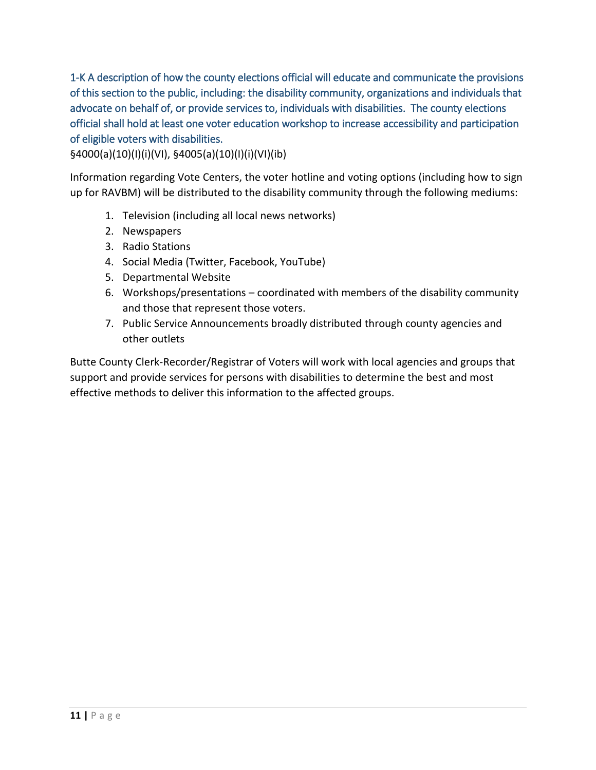1-K A description of how the county elections official will educate and communicate the provisions of this section to the public, including: the disability community, organizations and individuals that advocate on behalf of, or provide services to, individuals with disabilities. The county elections official shall hold at least one voter education workshop to increase accessibility and participation of eligible voters with disabilities.

§4000(a)(10)(I)(i)(VI), §4005(a)(10)(I)(i)(VI)(ib)

Information regarding Vote Centers, the voter hotline and voting options (including how to sign up for RAVBM) will be distributed to the disability community through the following mediums:

- 1. Television (including all local news networks)
- 2. Newspapers
- 3. Radio Stations
- 4. Social Media (Twitter, Facebook, YouTube)
- 5. Departmental Website
- 6. Workshops/presentations coordinated with members of the disability community and those that represent those voters.
- 7. Public Service Announcements broadly distributed through county agencies and other outlets

Butte County Clerk-Recorder/Registrar of Voters will work with local agencies and groups that support and provide services for persons with disabilities to determine the best and most effective methods to deliver this information to the affected groups.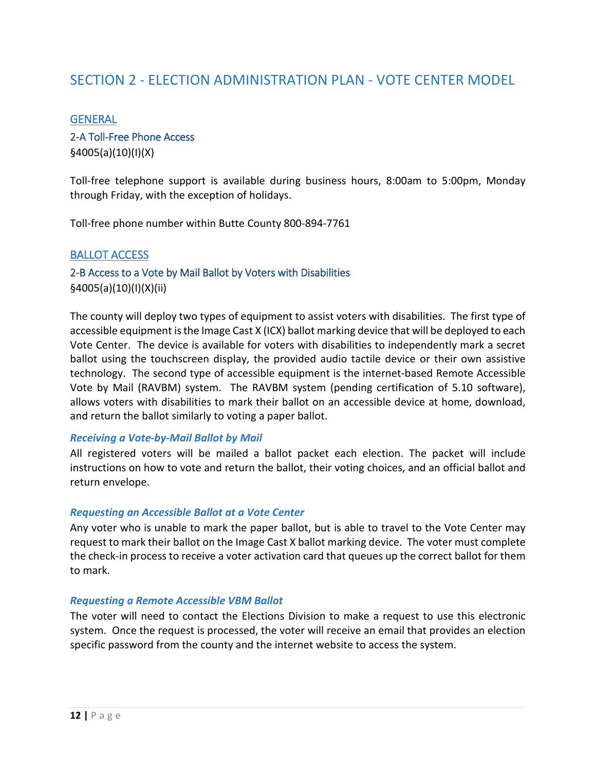# SECTION 2 - ELECTION ADMINISTRATION PLAN - VOTE CENTER MODEL

#### **GENERAL**

#### 2-A Toll-Free Phone Access

§4005(a)(10)(I)(X)

Toll-free telephone support is available during business hours, 8:00am to 5:00pm, Monday through Friday, with the exception of holidays.

Toll-free phone number within Butte County 800-894-7761

#### BALLOT ACCESS

2-B Access to a Vote by Mail Ballot by Voters with Disabilities §4005(a)(10)(I)(X)(ii)

The county will deploy two types of equipment to assist voters with disabilities. The first type of accessible equipment is the Image Cast X (ICX) ballot marking device that will be deployed to each Vote Center. The device is available for voters with disabilities to independently mark a secret ballot using the touchscreen display, the provided audio tactile device or their own assistive technology. The second type of accessible equipment is the internet-based Remote Accessible Vote by Mail (RAVBM) system. The RAVBM system (pending certification of 5.10 software), allows voters with disabilities to mark their ballot on an accessible device at home, download, and return the ballot similarly to voting a paper ballot.

#### *Receiving a Vote-by-Mail Ballot by Mail*

All registered voters will be mailed a ballot packet each election. The packet will include instructions on how to vote and return the ballot, their voting choices, and an official ballot and return envelope.

#### *Requesting an Accessible Ballot at a Vote Center*

Any voter who is unable to mark the paper ballot, but is able to travel to the Vote Center may request to mark their ballot on the Image Cast X ballot marking device. The voter must complete the check-in process to receive a voter activation card that queues up the correct ballot for them to mark.

#### *Requesting a Remote Accessible VBM Ballot*

The voter will need to contact the Elections Division to make a request to use this electronic system. Once the request is processed, the voter will receive an email that provides an election specific password from the county and the internet website to access the system.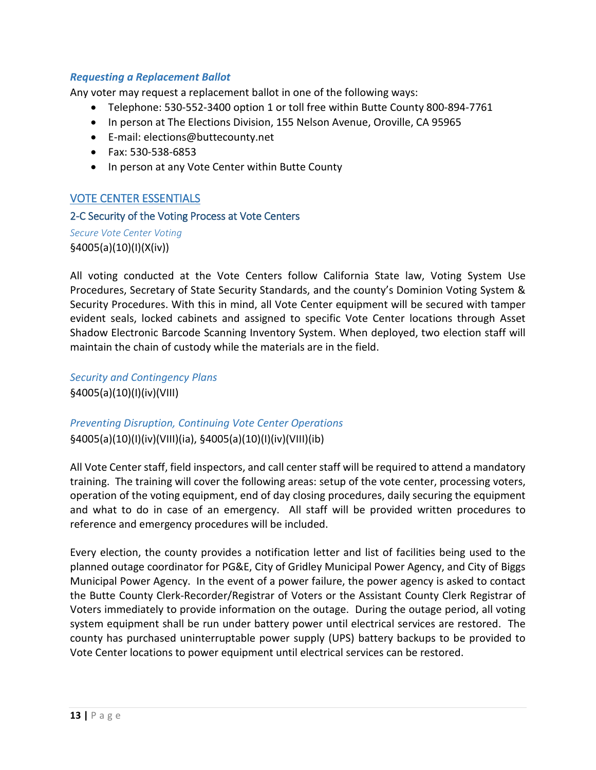#### *Requesting a Replacement Ballot*

Any voter may request a replacement ballot in one of the following ways:

- Telephone: 530-552-3400 option 1 or toll free within Butte County 800-894-7761
- In person at The Elections Division, 155 Nelson Avenue, Oroville, CA 95965
- E-mail: elections@buttecounty.net
- Fax: 530-538-6853
- In person at any Vote Center within Butte County

#### VOTE CENTER ESSENTIALS

#### 2-C Security of the Voting Process at Vote Centers

*Secure Vote Center Voting* §4005(a)(10)(I)(X(iv))

All voting conducted at the Vote Centers follow California State law, Voting System Use Procedures, Secretary of State Security Standards, and the county's Dominion Voting System & Security Procedures. With this in mind, all Vote Center equipment will be secured with tamper evident seals, locked cabinets and assigned to specific Vote Center locations through Asset Shadow Electronic Barcode Scanning Inventory System. When deployed, two election staff will maintain the chain of custody while the materials are in the field.

*Security and Contingency Plans* §4005(a)(10)(I)(iv)(VIII)

## *Preventing Disruption, Continuing Vote Center Operations* §4005(a)(10)(I)(iv)(VIII)(ia), §4005(a)(10)(I)(iv)(VIII)(ib)

All Vote Center staff, field inspectors, and call center staff will be required to attend a mandatory training. The training will cover the following areas: setup of the vote center, processing voters, operation of the voting equipment, end of day closing procedures, daily securing the equipment and what to do in case of an emergency. All staff will be provided written procedures to reference and emergency procedures will be included.

Every election, the county provides a notification letter and list of facilities being used to the planned outage coordinator for PG&E, City of Gridley Municipal Power Agency, and City of Biggs Municipal Power Agency. In the event of a power failure, the power agency is asked to contact the Butte County Clerk-Recorder/Registrar of Voters or the Assistant County Clerk Registrar of Voters immediately to provide information on the outage. During the outage period, all voting system equipment shall be run under battery power until electrical services are restored. The county has purchased uninterruptable power supply (UPS) battery backups to be provided to Vote Center locations to power equipment until electrical services can be restored.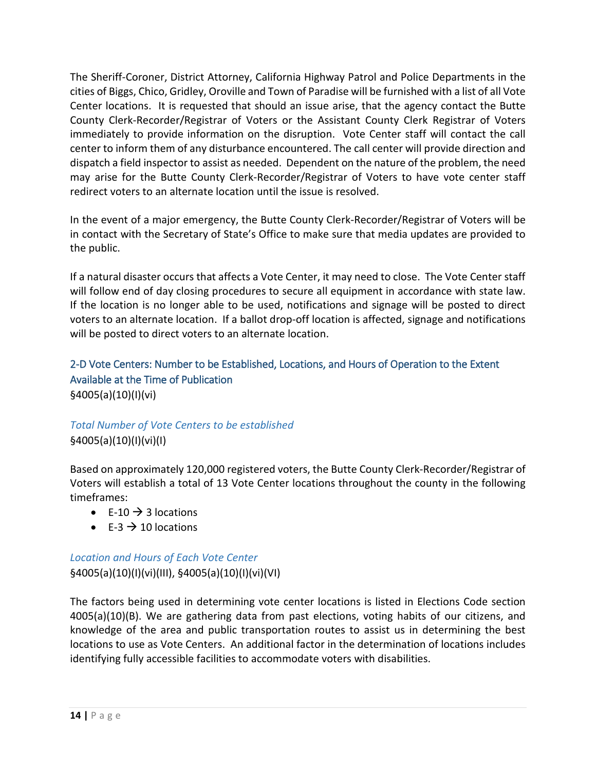The Sheriff-Coroner, District Attorney, California Highway Patrol and Police Departments in the cities of Biggs, Chico, Gridley, Oroville and Town of Paradise will be furnished with a list of all Vote Center locations. It is requested that should an issue arise, that the agency contact the Butte County Clerk-Recorder/Registrar of Voters or the Assistant County Clerk Registrar of Voters immediately to provide information on the disruption. Vote Center staff will contact the call center to inform them of any disturbance encountered. The call center will provide direction and dispatch a field inspector to assist as needed. Dependent on the nature of the problem, the need may arise for the Butte County Clerk-Recorder/Registrar of Voters to have vote center staff redirect voters to an alternate location until the issue is resolved.

In the event of a major emergency, the Butte County Clerk-Recorder/Registrar of Voters will be in contact with the Secretary of State's Office to make sure that media updates are provided to the public.

If a natural disaster occurs that affects a Vote Center, it may need to close. The Vote Center staff will follow end of day closing procedures to secure all equipment in accordance with state law. If the location is no longer able to be used, notifications and signage will be posted to direct voters to an alternate location. If a ballot drop-off location is affected, signage and notifications will be posted to direct voters to an alternate location.

# 2-D Vote Centers: Number to be Established, Locations, and Hours of Operation to the Extent Available at the Time of Publication §4005(a)(10)(I)(vi)

# *Total Number of Vote Centers to be established* §4005(a)(10)(I)(vi)(I)

Based on approximately 120,000 registered voters, the Butte County Clerk-Recorder/Registrar of Voters will establish a total of 13 Vote Center locations throughout the county in the following timeframes:

- E-10  $\rightarrow$  3 locations
- $F-3 \rightarrow 10$  locations

# *Location and Hours of Each Vote Center* §4005(a)(10)(I)(vi)(III), §4005(a)(10)(I)(vi)(VI)

The factors being used in determining vote center locations is listed in Elections Code section 4005(a)(10)(B). We are gathering data from past elections, voting habits of our citizens, and knowledge of the area and public transportation routes to assist us in determining the best locations to use as Vote Centers. An additional factor in the determination of locations includes identifying fully accessible facilities to accommodate voters with disabilities.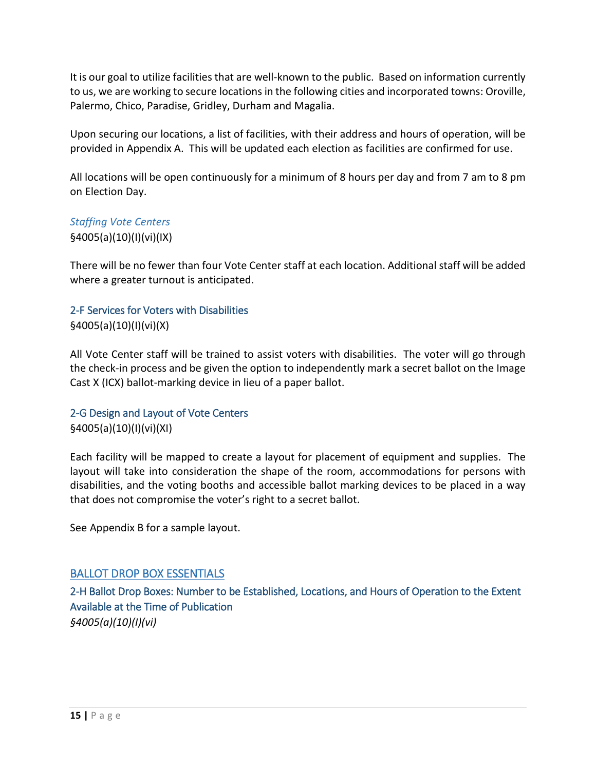It is our goal to utilize facilities that are well-known to the public. Based on information currently to us, we are working to secure locations in the following cities and incorporated towns: Oroville, Palermo, Chico, Paradise, Gridley, Durham and Magalia.

Upon securing our locations, a list of facilities, with their address and hours of operation, will be provided in Appendix A. This will be updated each election as facilities are confirmed for use.

All locations will be open continuously for a minimum of 8 hours per day and from 7 am to 8 pm on Election Day.

# *Staffing Vote Centers* §4005(a)(10)(I)(vi)(IX)

There will be no fewer than four Vote Center staff at each location. Additional staff will be added where a greater turnout is anticipated.

#### 2-F Services for Voters with Disabilities §4005(a)(10)(I)(vi)(X)

All Vote Center staff will be trained to assist voters with disabilities. The voter will go through the check-in process and be given the option to independently mark a secret ballot on the Image Cast X (ICX) ballot-marking device in lieu of a paper ballot.

#### 2-G Design and Layout of Vote Centers §4005(a)(10)(I)(vi)(XI)

Each facility will be mapped to create a layout for placement of equipment and supplies. The layout will take into consideration the shape of the room, accommodations for persons with disabilities, and the voting booths and accessible ballot marking devices to be placed in a way that does not compromise the voter's right to a secret ballot.

See Appendix B for a sample layout.

## BALLOT DROP BOX ESSENTIALS

2-H Ballot Drop Boxes: Number to be Established, Locations, and Hours of Operation to the Extent Available at the Time of Publication *§4005(a)(10)(I)(vi)*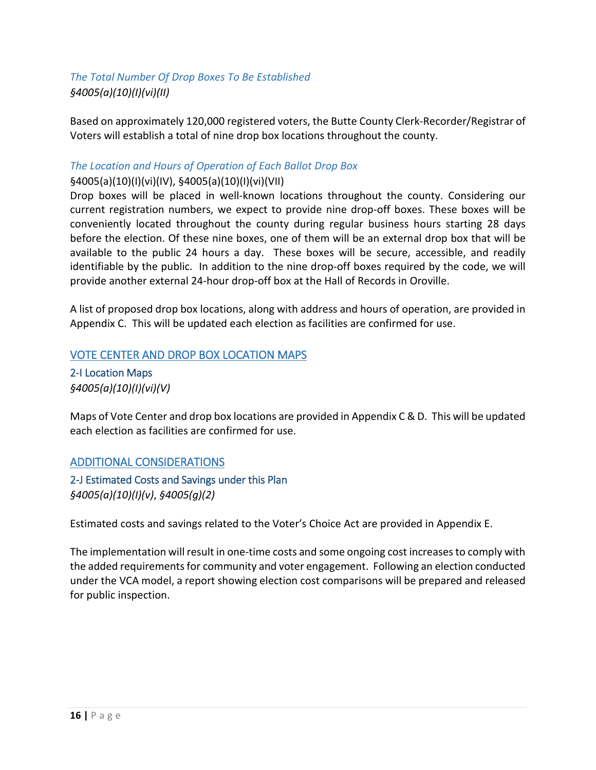# *The Total Number Of Drop Boxes To Be Established §4005(a)(10)(I)(vi)(II)*

Based on approximately 120,000 registered voters, the Butte County Clerk-Recorder/Registrar of Voters will establish a total of nine drop box locations throughout the county.

#### *The Location and Hours of Operation of Each Ballot Drop Box*

#### §4005(a)(10)(I)(vi)(IV), §4005(a)(10)(I)(vi)(VII)

Drop boxes will be placed in well-known locations throughout the county. Considering our current registration numbers, we expect to provide nine drop-off boxes. These boxes will be conveniently located throughout the county during regular business hours starting 28 days before the election. Of these nine boxes, one of them will be an external drop box that will be available to the public 24 hours a day. These boxes will be secure, accessible, and readily identifiable by the public. In addition to the nine drop-off boxes required by the code, we will provide another external 24-hour drop-off box at the Hall of Records in Oroville.

A list of proposed drop box locations, along with address and hours of operation, are provided in Appendix C. This will be updated each election as facilities are confirmed for use.

#### VOTE CENTER AND DROP BOX LOCATION MAPS

2-I Location Maps *§4005(a)(10)(I)(vi)(V)* 

Maps of Vote Center and drop box locations are provided in Appendix C & D. This will be updated each election as facilities are confirmed for use.

#### ADDITIONAL CONSIDERATIONS

2-J Estimated Costs and Savings under this Plan *§4005(a)(10)(I)(v)*, *§4005(g)(2)* 

Estimated costs and savings related to the Voter's Choice Act are provided in Appendix E.

The implementation will result in one-time costs and some ongoing cost increases to comply with the added requirements for community and voter engagement. Following an election conducted under the VCA model, a report showing election cost comparisons will be prepared and released for public inspection.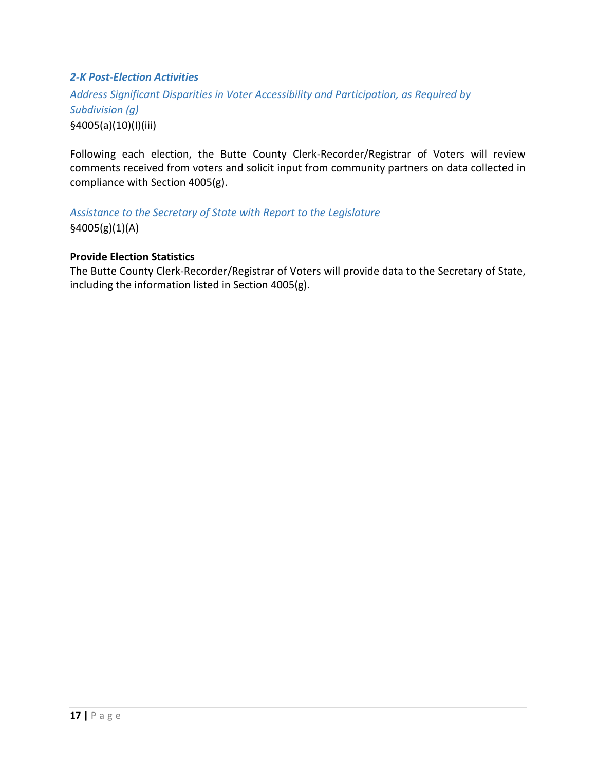#### *2-K Post-Election Activities*

*Address Significant Disparities in Voter Accessibility and Participation, as Required by Subdivision (g)* §4005(a)(10)(I)(iii)

Following each election, the Butte County Clerk-Recorder/Registrar of Voters will review comments received from voters and solicit input from community partners on data collected in compliance with Section 4005(g).

## *Assistance to the Secretary of State with Report to the Legislature*

§4005(g)(1)(A)

#### **Provide Election Statistics**

The Butte County Clerk-Recorder/Registrar of Voters will provide data to the Secretary of State, including the information listed in Section 4005(g).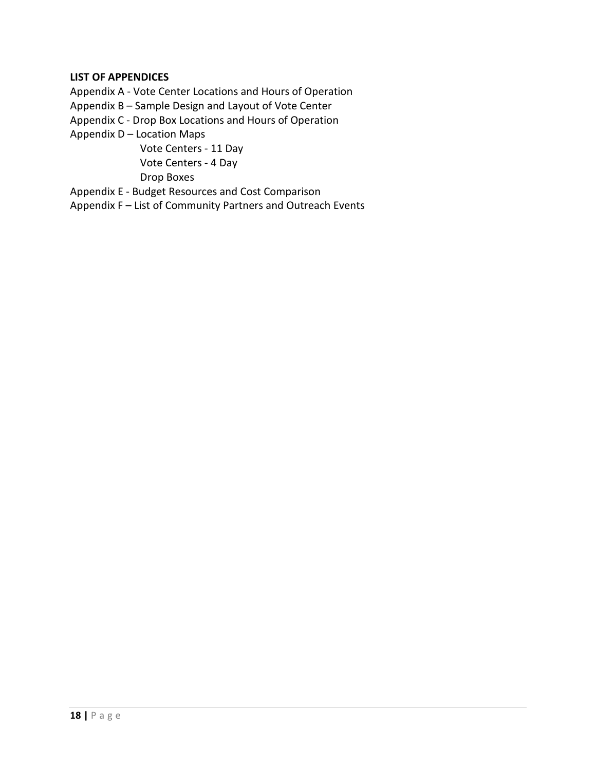#### **LIST OF APPENDICES**

Appendix A - Vote Center Locations and Hours of Operation

Appendix B – Sample Design and Layout of Vote Center

Appendix C - Drop Box Locations and Hours of Operation

Appendix D – Location Maps

Vote Centers - 11 Day Vote Centers - 4 Day Drop Boxes

Appendix E - Budget Resources and Cost Comparison

Appendix F – List of Community Partners and Outreach Events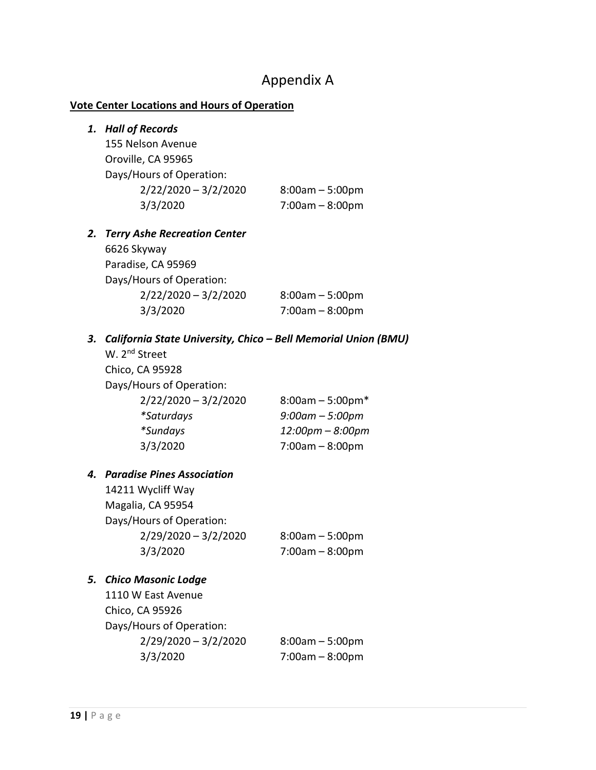# Appendix A

#### **Vote Center Locations and Hours of Operation**

# *1. Hall of Records*  155 Nelson Avenue Oroville, CA 95965 Days/Hours of Operation: 2/22/2020 – 3/2/2020 8:00am – 5:00pm 3/3/2020 7:00am – 8:00pm *2. Terry Ashe Recreation Center* 6626 Skyway Paradise, CA 95969 Days/Hours of Operation: 2/22/2020 – 3/2/2020 8:00am – 5:00pm 3/3/2020 7:00am – 8:00pm

#### *3. California State University, Chico – Bell Memorial Union (BMU)*

W. 2<sup>nd</sup> Street Chico, CA 95928 Days/Hours of Operation:  $2/22/2020 - 3/2/2020$  8:00am - 5:00pm\* *\*Saturdays 9:00am – 5:00pm \*Sundays 12:00pm – 8:00pm* 3/3/2020 7:00am – 8:00pm

#### *4. Paradise Pines Association*

14211 Wycliff Way Magalia, CA 95954 Days/Hours of Operation: 2/29/2020 – 3/2/2020 8:00am – 5:00pm 3/3/2020 7:00am – 8:00pm

#### *5. Chico Masonic Lodge*

1110 W East Avenue Chico, CA 95926 Days/Hours of Operation:  $2/29/2020 - 3/2/2020$  8:00am - 5:00pm 3/3/2020 7:00am – 8:00pm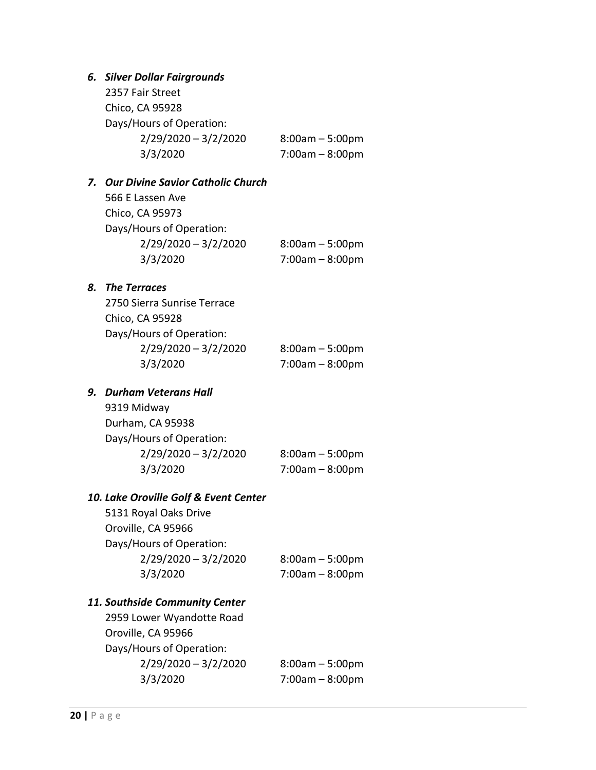#### *6. Silver Dollar Fairgrounds*

| 2357 Fair Street         |                   |
|--------------------------|-------------------|
| Chico, CA 95928          |                   |
| Days/Hours of Operation: |                   |
| $2/29/2020 - 3/2/2020$   | $8:00am - 5:00pm$ |
| 3/3/2020                 | $7:00am - 8:00pm$ |
|                          |                   |

#### *7. Our Divine Savior Catholic Church*

566 E Lassen Ave Chico, CA 95973 Days/Hours of Operation: 2/29/2020 – 3/2/2020 8:00am – 5:00pm 3/3/2020 7:00am – 8:00pm

#### *8. The Terraces*

| 2750 Sierra Sunrise Terrace |                   |
|-----------------------------|-------------------|
| Chico, CA 95928             |                   |
| Days/Hours of Operation:    |                   |
| $2/29/2020 - 3/2/2020$      | $8:00am - 5:00pm$ |
| 3/3/2020                    | $7:00am - 8:00pm$ |
|                             |                   |

## *9. Durham Veterans Hall*

9319 Midway Durham, CA 95938 Days/Hours of Operation: 2/29/2020 – 3/2/2020 8:00am – 5:00pm 3/3/2020 7:00am – 8:00pm

#### *10. Lake Oroville Golf & Event Center*

5131 Royal Oaks Drive Oroville, CA 95966 Days/Hours of Operation: 2/29/2020 – 3/2/2020 8:00am – 5:00pm 3/3/2020 7:00am – 8:00pm

#### *11. Southside Community Center*

2959 Lower Wyandotte Road Oroville, CA 95966 Days/Hours of Operation: 2/29/2020 – 3/2/2020 8:00am – 5:00pm 3/3/2020 7:00am – 8:00pm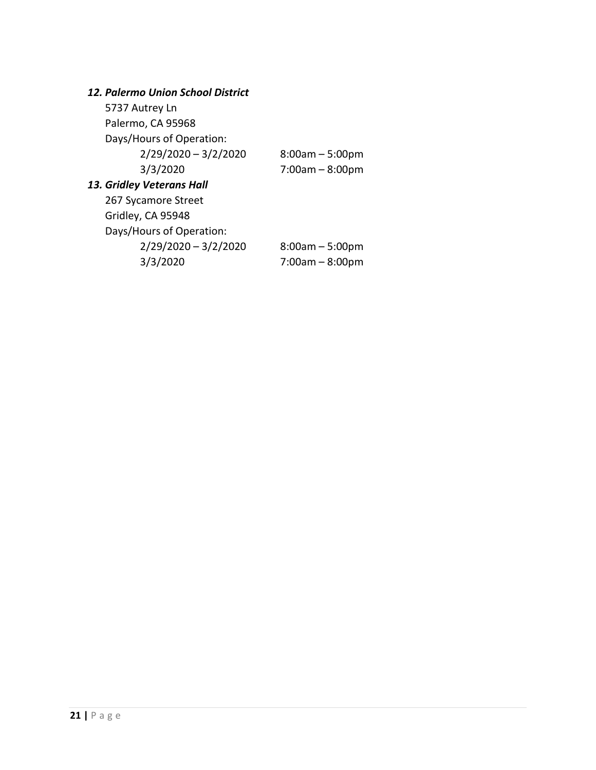## *12. Palermo Union School District*

| 5737 Autrey Ln            |                   |
|---------------------------|-------------------|
| Palermo, CA 95968         |                   |
| Days/Hours of Operation:  |                   |
| $2/29/2020 - 3/2/2020$    | $8:00am - 5:00pm$ |
| 3/3/2020                  | $7:00am - 8:00pm$ |
| 13. Gridley Veterans Hall |                   |
| 267 Sycamore Street       |                   |
| Gridley, CA 95948         |                   |
| Days/Hours of Operation:  |                   |

2/29/2020 – 3/2/2020 8:00am – 5:00pm 3/3/2020 7:00am – 8:00pm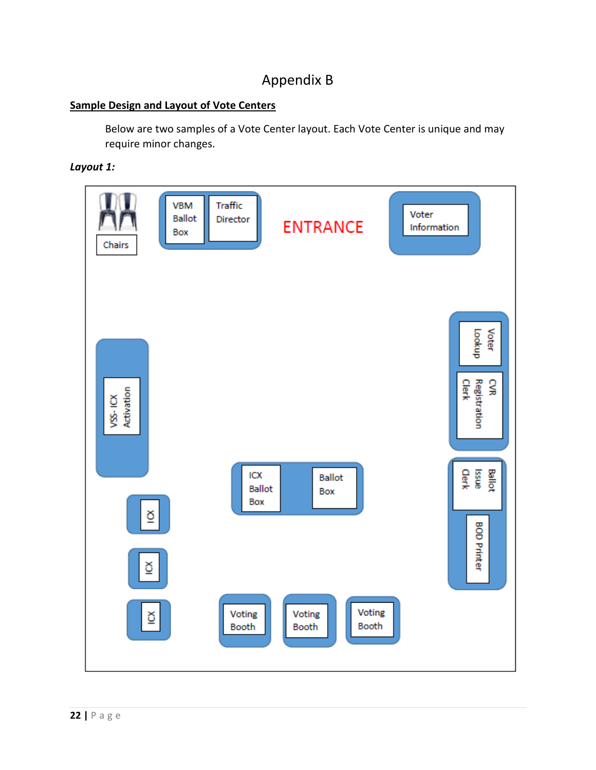# Appendix B

#### **Sample Design and Layout of Vote Centers**

Below are two samples of a Vote Center layout. Each Vote Center is unique and may require minor changes.

#### *Layout 1:*

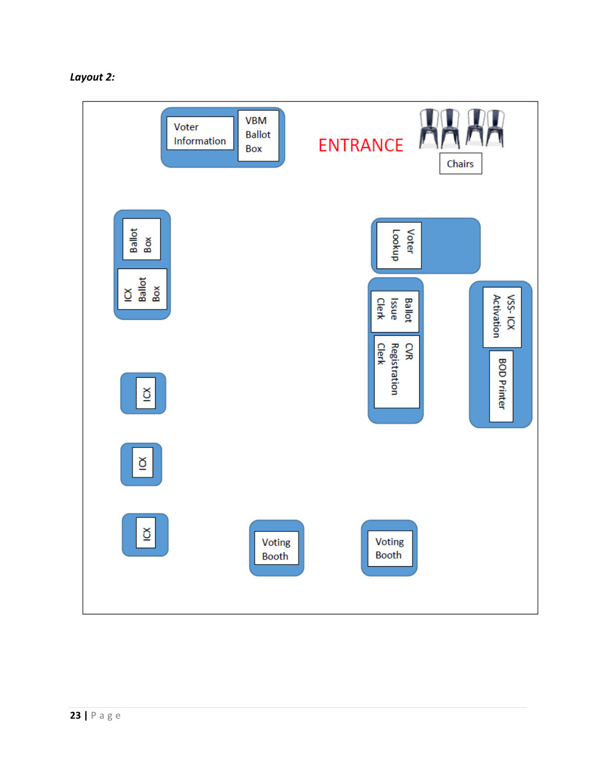

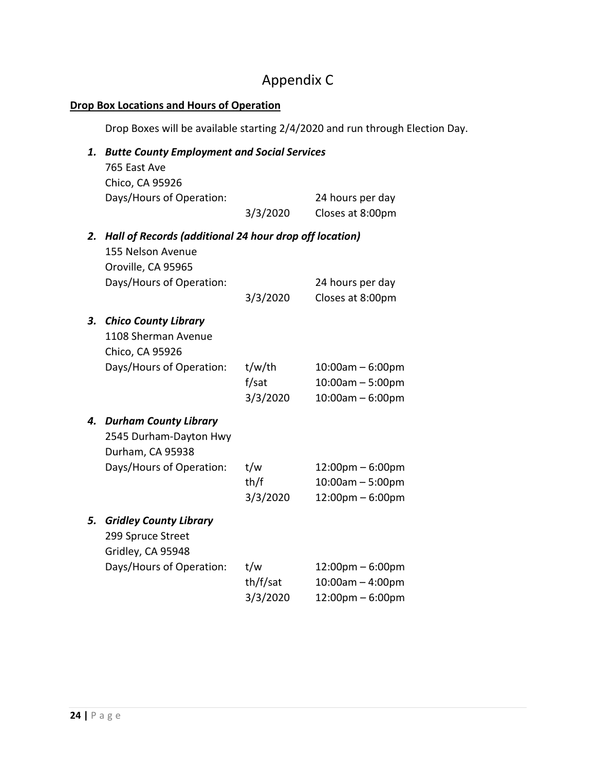# Appendix C

## **Drop Box Locations and Hours of Operation**

Drop Boxes will be available starting 2/4/2020 and run through Election Day.

| 1. | <b>Butte County Employment and Social Services</b>     |          |                                    |  |
|----|--------------------------------------------------------|----------|------------------------------------|--|
|    | 765 East Ave                                           |          |                                    |  |
|    | Chico, CA 95926                                        |          |                                    |  |
|    | Days/Hours of Operation:                               |          | 24 hours per day                   |  |
|    |                                                        | 3/3/2020 | Closes at 8:00pm                   |  |
| 2. | Hall of Records (additional 24 hour drop off location) |          |                                    |  |
|    | 155 Nelson Avenue                                      |          |                                    |  |
|    | Oroville, CA 95965                                     |          |                                    |  |
|    | Days/Hours of Operation:                               |          | 24 hours per day                   |  |
|    |                                                        | 3/3/2020 | Closes at 8:00pm                   |  |
| 3. | <b>Chico County Library</b>                            |          |                                    |  |
|    | 1108 Sherman Avenue                                    |          |                                    |  |
|    | Chico, CA 95926                                        |          |                                    |  |
|    | Days/Hours of Operation:                               | t/w/th   | $10:00am - 6:00pm$                 |  |
|    |                                                        | f/sat    | 10:00am - 5:00pm                   |  |
|    |                                                        | 3/3/2020 | $10:00am - 6:00pm$                 |  |
| 4. | <b>Durham County Library</b>                           |          |                                    |  |
|    | 2545 Durham-Dayton Hwy                                 |          |                                    |  |
|    | Durham, CA 95938                                       |          |                                    |  |
|    | Days/Hours of Operation:                               | t/w      | $12:00 \text{pm} - 6:00 \text{pm}$ |  |
|    |                                                        | th/f     | $10:00am - 5:00pm$                 |  |
|    |                                                        | 3/3/2020 | $12:00$ pm – 6:00pm                |  |
| 5. | <b>Gridley County Library</b>                          |          |                                    |  |
|    | 299 Spruce Street                                      |          |                                    |  |
|    | Gridley, CA 95948                                      |          |                                    |  |
|    | Days/Hours of Operation:                               | t/w      | $12:00 \text{pm} - 6:00 \text{pm}$ |  |
|    |                                                        | th/f/sat | $10:00am - 4:00pm$                 |  |
|    |                                                        | 3/3/2020 | 12:00pm - 6:00pm                   |  |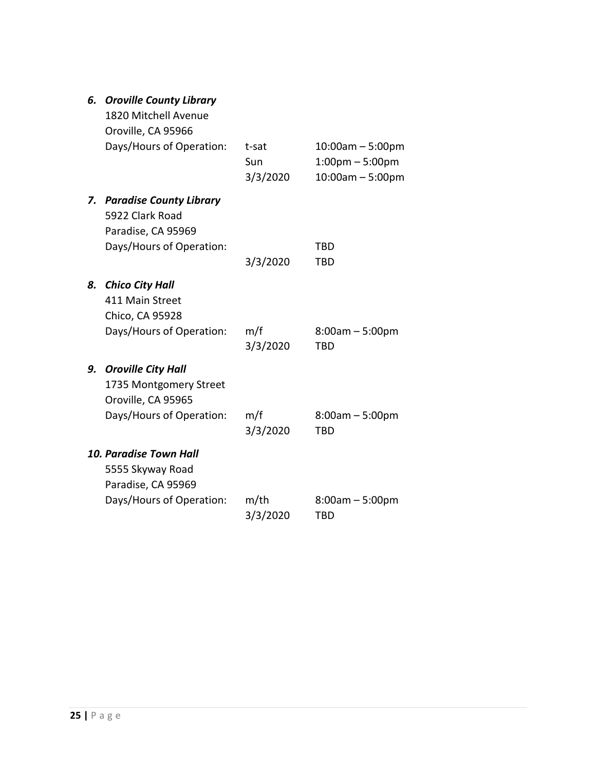|  |  | 6. Oroville County Library |
|--|--|----------------------------|
|--|--|----------------------------|

|    | 1820 Mitchell Avenue<br>Oroville, CA 95966                                |                          |                                                                                |
|----|---------------------------------------------------------------------------|--------------------------|--------------------------------------------------------------------------------|
|    | Days/Hours of Operation:                                                  | t-sat<br>Sun<br>3/3/2020 | $10:00$ am $-5:00$ pm<br>$1:00 \text{pm} - 5:00 \text{pm}$<br>10:00am - 5:00pm |
| 7. | <b>Paradise County Library</b><br>5922 Clark Road<br>Paradise, CA 95969   |                          |                                                                                |
|    | Days/Hours of Operation:                                                  |                          | <b>TBD</b>                                                                     |
|    |                                                                           | 3/3/2020                 | <b>TBD</b>                                                                     |
| 8. | <b>Chico City Hall</b><br>411 Main Street<br>Chico, CA 95928              |                          |                                                                                |
|    | Days/Hours of Operation:                                                  | m/f<br>3/3/2020          | $8:00am - 5:00pm$<br><b>TBD</b>                                                |
| 9. | <b>Oroville City Hall</b><br>1735 Montgomery Street<br>Oroville, CA 95965 |                          |                                                                                |
|    | Days/Hours of Operation:                                                  | m/f<br>3/3/2020          | $8:00am - 5:00pm$<br>TBD                                                       |
|    | <b>10. Paradise Town Hall</b><br>5555 Skyway Road                         |                          |                                                                                |
|    | Paradise, CA 95969<br>Days/Hours of Operation:                            | $m$ /th<br>3/3/2020      | $8:00am - 5:00pm$<br>TBD                                                       |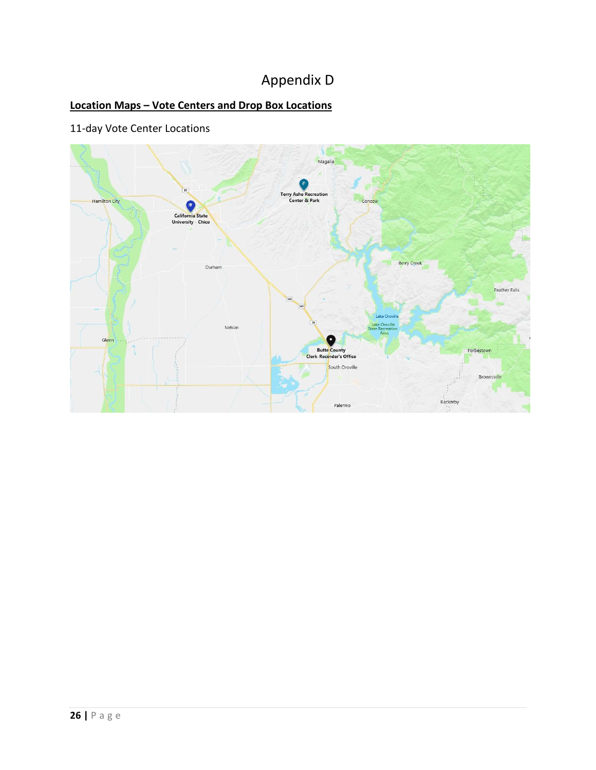# Appendix D

# **Location Maps – Vote Centers and Drop Box Locations**

# 11-day Vote Center Locations

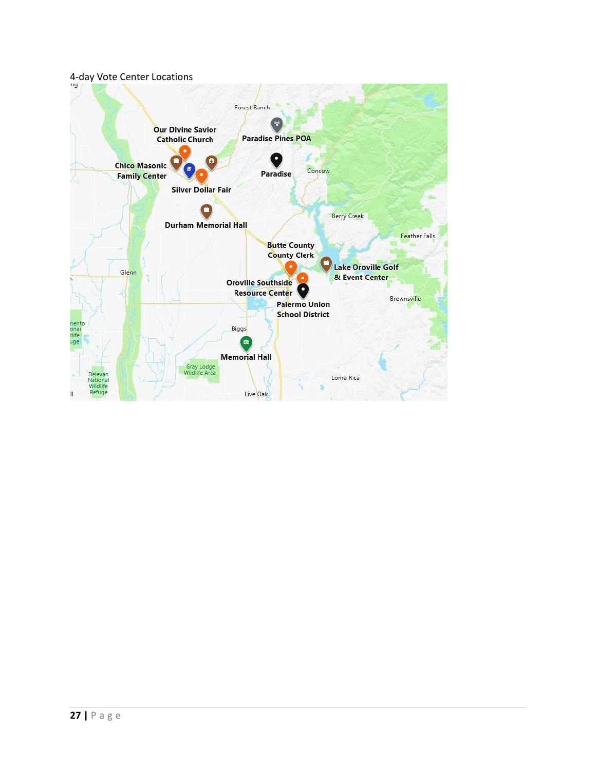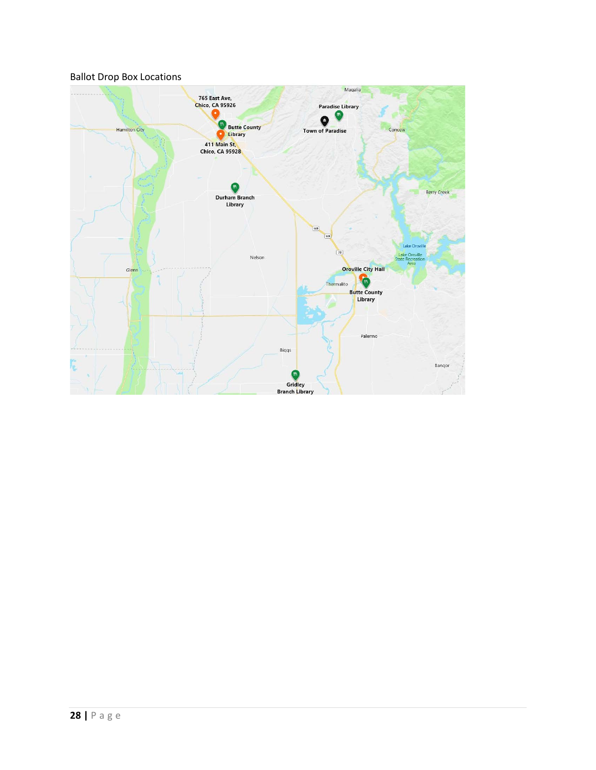#### Ballot Drop Box Locations

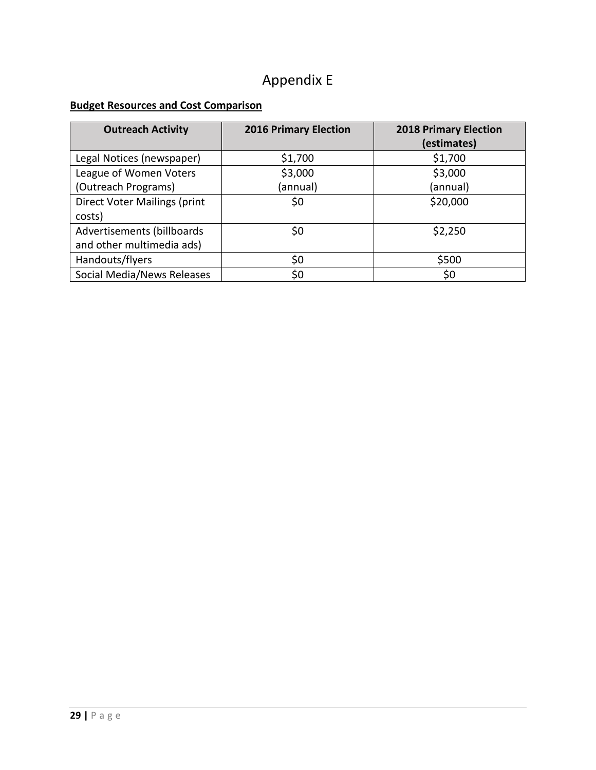# Appendix E

#### **Budget Resources and Cost Comparison**

| <b>Outreach Activity</b>     | <b>2016 Primary Election</b> | <b>2018 Primary Election</b><br>(estimates) |
|------------------------------|------------------------------|---------------------------------------------|
| Legal Notices (newspaper)    | \$1,700                      | \$1,700                                     |
| League of Women Voters       | \$3,000                      | \$3,000                                     |
| (Outreach Programs)          | (annual)                     | (annual)                                    |
| Direct Voter Mailings (print | \$0                          | \$20,000                                    |
| costs)                       |                              |                                             |
| Advertisements (billboards)  | \$0                          | \$2,250                                     |
| and other multimedia ads)    |                              |                                             |
| Handouts/flyers              | \$0                          | \$500                                       |
| Social Media/News Releases   | \$0                          | \$0                                         |